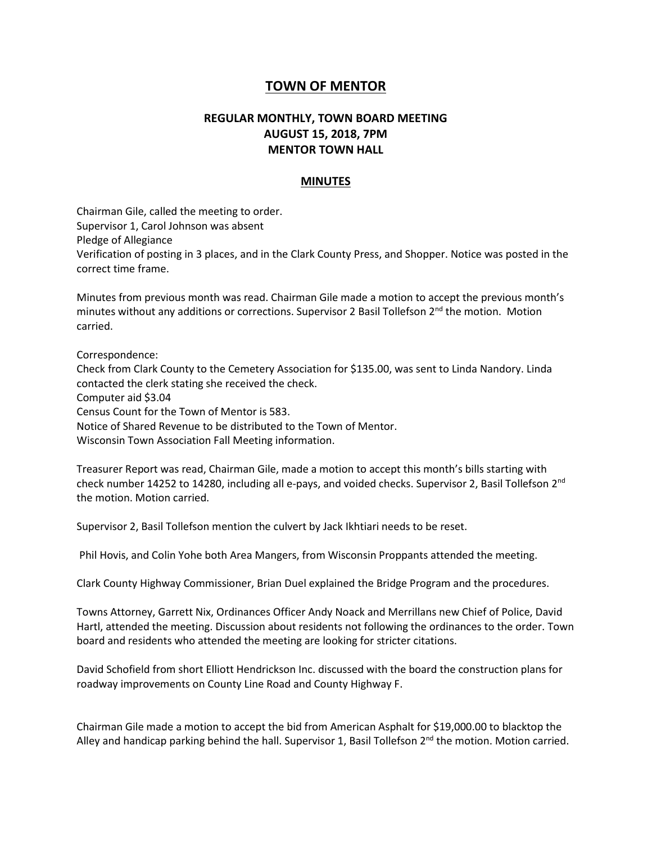## **TOWN OF MENTOR**

## **REGULAR MONTHLY, TOWN BOARD MEETING AUGUST 15, 2018, 7PM MENTOR TOWN HALL**

## **MINUTES**

Chairman Gile, called the meeting to order. Supervisor 1, Carol Johnson was absent Pledge of Allegiance Verification of posting in 3 places, and in the Clark County Press, and Shopper. Notice was posted in the correct time frame.

Minutes from previous month was read. Chairman Gile made a motion to accept the previous month's minutes without any additions or corrections. Supervisor 2 Basil Tollefson 2<sup>nd</sup> the motion. Motion carried.

Correspondence:

Check from Clark County to the Cemetery Association for \$135.00, was sent to Linda Nandory. Linda contacted the clerk stating she received the check. Computer aid \$3.04 Census Count for the Town of Mentor is 583. Notice of Shared Revenue to be distributed to the Town of Mentor. Wisconsin Town Association Fall Meeting information.

Treasurer Report was read, Chairman Gile, made a motion to accept this month's bills starting with check number 14252 to 14280, including all e-pays, and voided checks. Supervisor 2, Basil Tollefson 2nd the motion. Motion carried.

Supervisor 2, Basil Tollefson mention the culvert by Jack Ikhtiari needs to be reset.

Phil Hovis, and Colin Yohe both Area Mangers, from Wisconsin Proppants attended the meeting.

Clark County Highway Commissioner, Brian Duel explained the Bridge Program and the procedures.

Towns Attorney, Garrett Nix, Ordinances Officer Andy Noack and Merrillans new Chief of Police, David Hartl, attended the meeting. Discussion about residents not following the ordinances to the order. Town board and residents who attended the meeting are looking for stricter citations.

David Schofield from short Elliott Hendrickson Inc. discussed with the board the construction plans for roadway improvements on County Line Road and County Highway F.

Chairman Gile made a motion to accept the bid from American Asphalt for \$19,000.00 to blacktop the Alley and handicap parking behind the hall. Supervisor 1, Basil Tollefson  $2<sup>nd</sup>$  the motion. Motion carried.